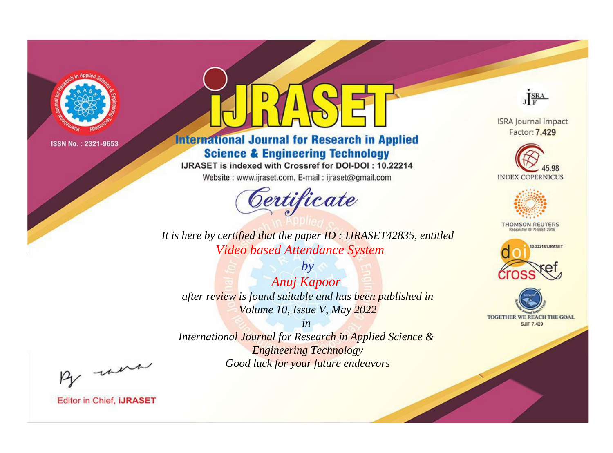

# **International Journal for Research in Applied Science & Engineering Technology**

IJRASET is indexed with Crossref for DOI-DOI: 10.22214

Website: www.ijraset.com, E-mail: ijraset@gmail.com



JERA **ISRA Journal Impact** 

Factor: 7.429





**THOMSON REUTERS** 



TOGETHER WE REACH THE GOAL **SJIF 7.429** 

*It is here by certified that the paper ID : IJRASET42835, entitled Video based Attendance System*

*by Anuj Kapoor after review is found suitable and has been published in Volume 10, Issue V, May 2022*

*in* 

*International Journal for Research in Applied Science & Engineering Technology Good luck for your future endeavors*

By morn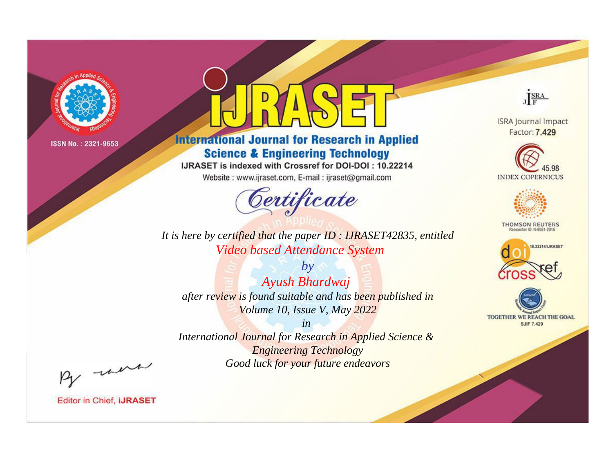

# **International Journal for Research in Applied Science & Engineering Technology**

IJRASET is indexed with Crossref for DOI-DOI: 10.22214

Website: www.ijraset.com, E-mail: ijraset@gmail.com



**ISRA Journal Impact** Factor: 7.429

JERA





**THOMSON REUTERS** 



TOGETHER WE REACH THE GOAL **SJIF 7.429** 

*It is here by certified that the paper ID : IJRASET42835, entitled Video based Attendance System*

*by Ayush Bhardwaj after review is found suitable and has been published in Volume 10, Issue V, May 2022*

*in* 

*International Journal for Research in Applied Science & Engineering Technology Good luck for your future endeavors*

By morn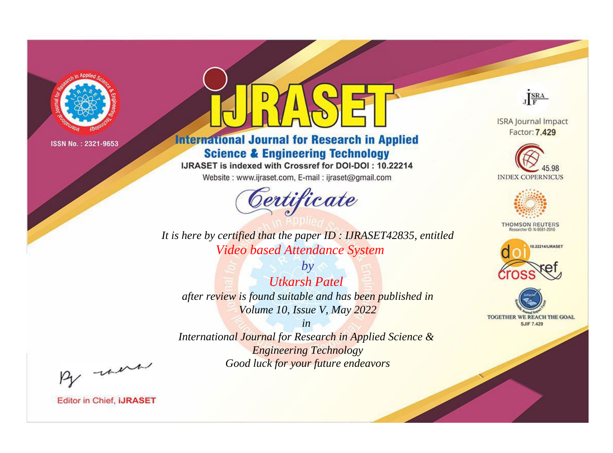

# **International Journal for Research in Applied Science & Engineering Technology**

IJRASET is indexed with Crossref for DOI-DOI: 10.22214

Website: www.ijraset.com, E-mail: ijraset@gmail.com



JERA **ISRA Journal Impact** 

Factor: 7.429





**THOMSON REUTERS** 



TOGETHER WE REACH THE GOAL **SJIF 7.429** 

*It is here by certified that the paper ID : IJRASET42835, entitled Video based Attendance System*

*by Utkarsh Patel after review is found suitable and has been published in Volume 10, Issue V, May 2022*

*in* 

*International Journal for Research in Applied Science & Engineering Technology Good luck for your future endeavors*

By morn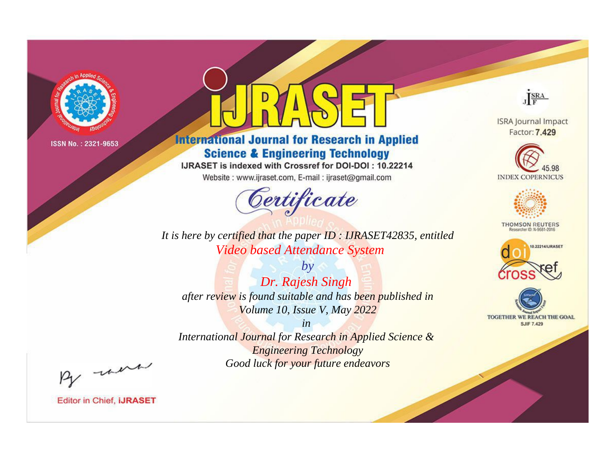

# **International Journal for Research in Applied Science & Engineering Technology**

IJRASET is indexed with Crossref for DOI-DOI: 10.22214

Website: www.ijraset.com, E-mail: ijraset@gmail.com



JERA **ISRA Journal Impact** 

Factor: 7.429





**THOMSON REUTERS** 



TOGETHER WE REACH THE GOAL **SJIF 7.429** 

*It is here by certified that the paper ID : IJRASET42835, entitled Video based Attendance System*

*by Dr. Rajesh Singh after review is found suitable and has been published in Volume 10, Issue V, May 2022*

*in* 

*International Journal for Research in Applied Science & Engineering Technology Good luck for your future endeavors*

By morn